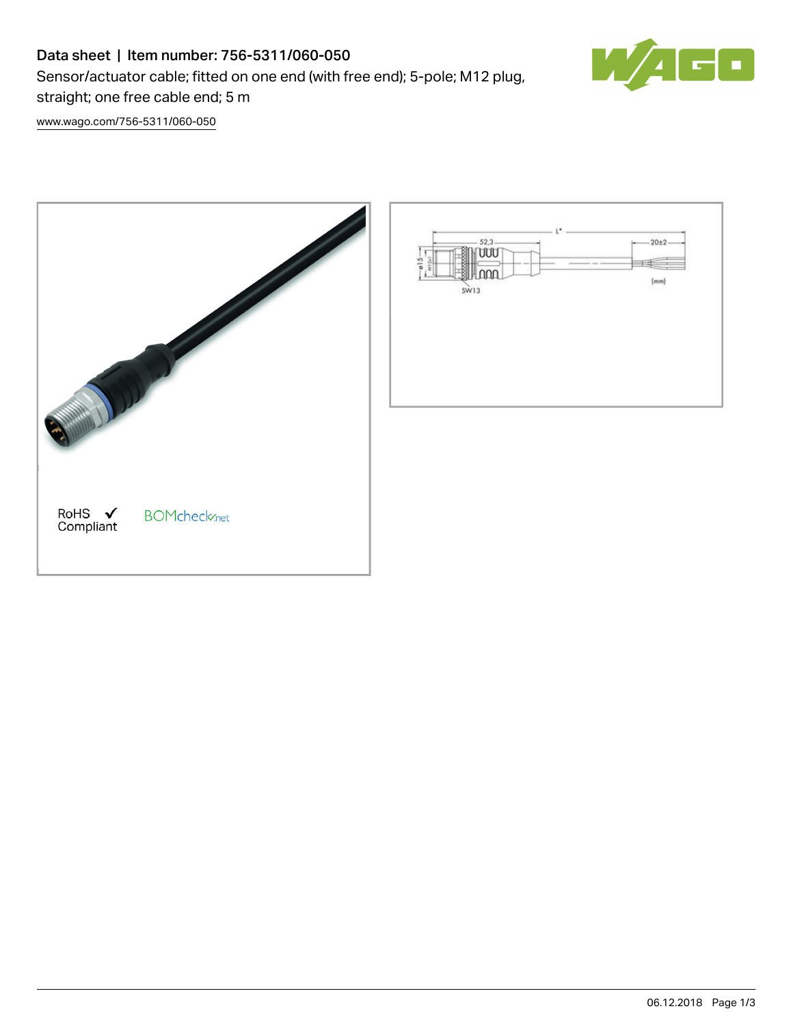## Data sheet | Item number: 756-5311/060-050

Sensor/actuator cable; fitted on one end (with free end); 5-pole; M12 plug,



[www.wago.com/756-5311/060-050](http://www.wago.com/756-5311/060-050)

straight; one free cable end; 5 m

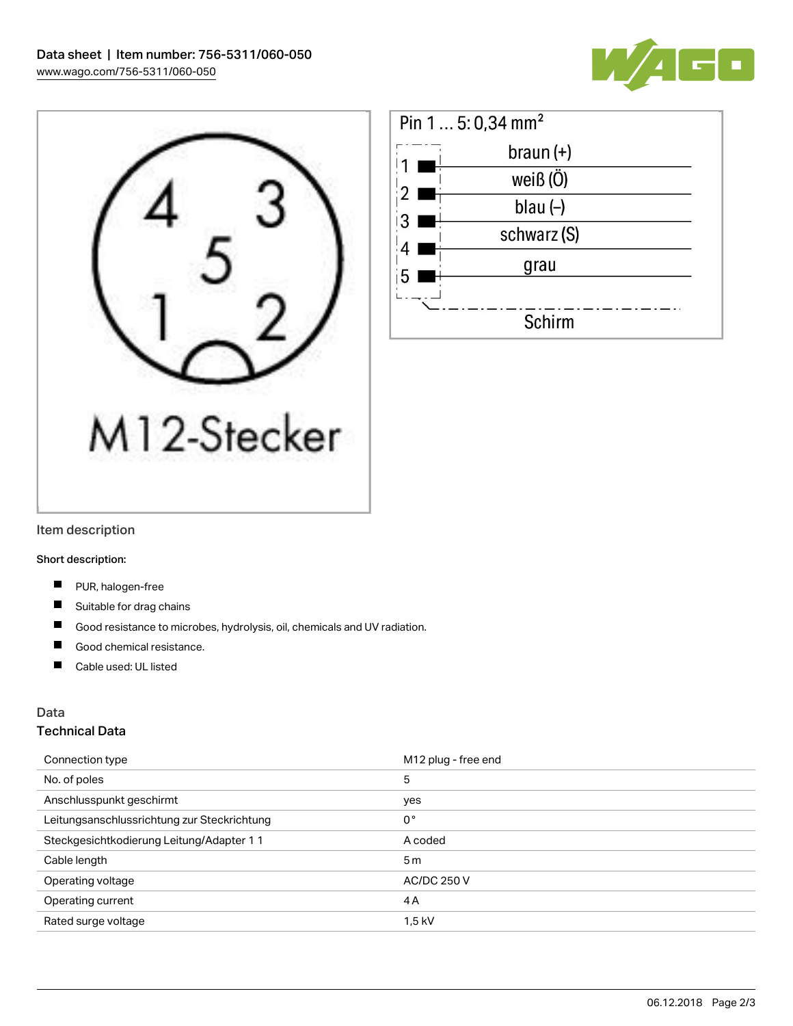





#### Item description

Short description:

- $\blacksquare$ PUR, halogen-free
- Suitable for drag chains
- $\blacksquare$ Good resistance to microbes, hydrolysis, oil, chemicals and UV radiation.
- П Good chemical resistance.
- $\blacksquare$ Cable used: UL listed

### Data

#### Technical Data

| Connection type                             | M12 plug - free end |
|---------------------------------------------|---------------------|
| No. of poles                                | 5                   |
| Anschlusspunkt geschirmt                    | yes                 |
| Leitungsanschlussrichtung zur Steckrichtung | $0^{\circ}$         |
| Steckgesichtkodierung Leitung/Adapter 1 1   | A coded             |
| Cable length                                | 5 <sub>m</sub>      |
| Operating voltage                           | <b>AC/DC 250 V</b>  |
| Operating current                           | 4A                  |
| Rated surge voltage                         | $1,5$ kV            |